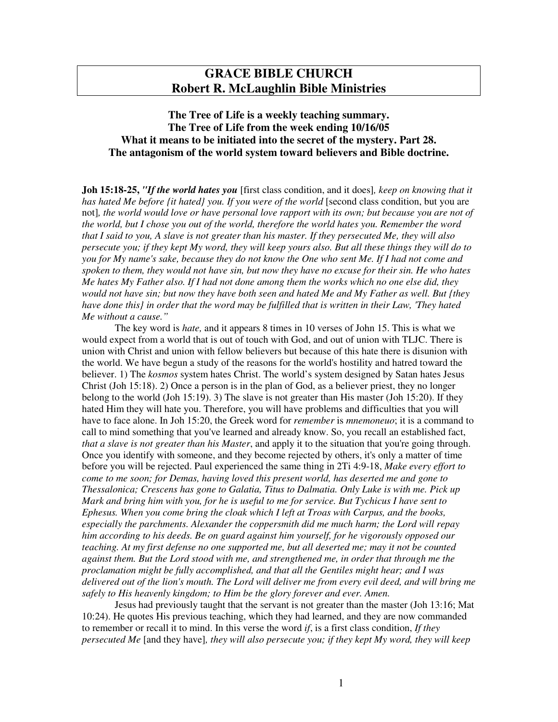# **GRACE BIBLE CHURCH Robert R. McLaughlin Bible Ministries**

## **The Tree of Life is a weekly teaching summary. The Tree of Life from the week ending 10/16/05 What it means to be initiated into the secret of the mystery. Part 28. The antagonism of the world system toward believers and Bible doctrine.**

**Joh 15:18-25,** *"If the world hates you* [first class condition, and it does]*, keep on knowing that it has hated Me before {it hated} you. If you were of the world* [second class condition, but you are not], the world would love or have personal love rapport with its own; but because you are not of *the world, but I chose you out of the world, therefore the world hates you. Remember the word* that I said to you, A slave is not greater than his master. If they persecuted Me, they will also persecute you; if they kept My word, they will keep yours also. But all these things they will do to you for My name's sake, because they do not know the One who sent Me. If I had not come and spoken to them, they would not have sin, but now they have no excuse for their sin. He who hates Me hates My Father also. If I had not done among them the works which no one else did, they would not have sin; but now they have both seen and hated Me and My Father as well. But {they have done this} in order that the word may be fulfilled that is written in their Law, 'They hated *Me without a cause."*

The key word is *hate,* and it appears 8 times in 10 verses of John 15. This is what we would expect from a world that is out of touch with God, and out of union with TLJC. There is union with Christ and union with fellow believers but because of this hate there is disunion with the world. We have begun a study of the reasons for the world's hostility and hatred toward the believer. 1) The *kosmos* system hates Christ. The world's system designed by Satan hates Jesus Christ (Joh 15:18). 2) Once a person is in the plan of God, as a believer priest, they no longer belong to the world (Joh 15:19). 3) The slave is not greater than His master (Joh 15:20). If they hated Him they will hate you. Therefore, you will have problems and difficulties that you will have to face alone. In Joh 15:20, the Greek word for *remember* is *mnemoneuo*; it is a command to call to mind something that you've learned and already know. So, you recall an established fact, *that a slave is not greater than his Master*, and apply it to the situation that you're going through. Once you identify with someone, and they become rejected by others, it's only a matter of time before you will be rejected. Paul experienced the same thing in 2Ti 4:9-18, *Make every effort to come to me soon; for Demas, having loved this present world, has deserted me and gone to Thessalonica; Crescens has gone to Galatia, Titus to Dalmatia. Only Luke is with me. Pick up* Mark and bring him with you, for he is useful to me for service. But Tychicus I have sent to *Ephesus. When you come bring the cloak which I left at Troas with Carpus, and the books, especially the parchments. Alexander the coppersmith did me much harm; the Lord will repay him according to his deeds. Be on guard against him yourself, for he vigorously opposed our teaching. At my first defense no one supported me, but all deserted me; may it not be counted against them. But the Lord stood with me, and strengthened me, in order that through me the proclamation might be fully accomplished, and that all the Gentiles might hear; and I was* delivered out of the lion's mouth. The Lord will deliver me from every evil deed, and will bring me *safely to His heavenly kingdom; to Him be the glory forever and ever. Amen.*

Jesus had previously taught that the servant is not greater than the master (Joh 13:16; Mat 10:24). He quotes His previous teaching, which they had learned, and they are now commanded to remember or recall it to mind. In this verse the word *if*, is a first class condition, *If they persecuted Me* [and they have]*, they will also persecute you; if they kept My word, they will keep*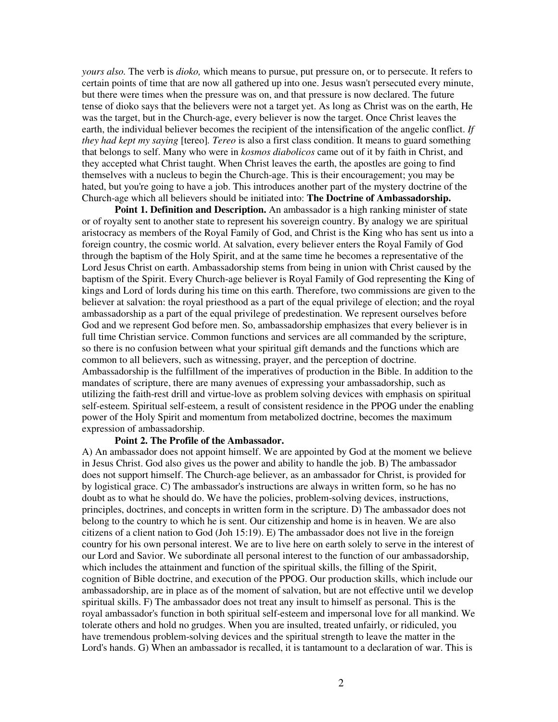*yours also.* The verb is *dioko,* which means to pursue, put pressure on, or to persecute. It refers to certain points of time that are now all gathered up into one. Jesus wasn't persecuted every minute, but there were times when the pressure was on, and that pressure is now declared. The future tense of dioko says that the believers were not a target yet. As long as Christ was on the earth, He was the target, but in the Church-age, every believer is now the target. Once Christ leaves the earth, the individual believer becomes the recipient of the intensification of the angelic conflict. *If they had kept my saying* [tereo]*. Tereo* is also a first class condition. It means to guard something that belongs to self. Many who were in *kosmos diabolicos* came out of it by faith in Christ, and they accepted what Christ taught. When Christ leaves the earth, the apostles are going to find themselves with a nucleus to begin the Church-age. This is their encouragement; you may be hated, but you're going to have a job. This introduces another part of the mystery doctrine of the Church-age which all believers should be initiated into: **The Doctrine of Ambassadorship.**

**Point 1. Definition and Description.** An ambassador is a high ranking minister of state or of royalty sent to another state to represent his sovereign country. By analogy we are spiritual aristocracy as members of the Royal Family of God, and Christ is the King who has sent us into a foreign country, the cosmic world. At salvation, every believer enters the Royal Family of God through the baptism of the Holy Spirit, and at the same time he becomes a representative of the Lord Jesus Christ on earth. Ambassadorship stems from being in union with Christ caused by the baptism of the Spirit. Every Church-age believer is Royal Family of God representing the King of kings and Lord of lords during his time on this earth. Therefore, two commissions are given to the believer at salvation: the royal priesthood as a part of the equal privilege of election; and the royal ambassadorship as a part of the equal privilege of predestination. We represent ourselves before God and we represent God before men. So, ambassadorship emphasizes that every believer is in full time Christian service. Common functions and services are all commanded by the scripture, so there is no confusion between what your spiritual gift demands and the functions which are common to all believers, such as witnessing, prayer, and the perception of doctrine. Ambassadorship is the fulfillment of the imperatives of production in the Bible. In addition to the mandates of scripture, there are many avenues of expressing your ambassadorship, such as utilizing the faith-rest drill and virtue-love as problem solving devices with emphasis on spiritual self-esteem. Spiritual self-esteem, a result of consistent residence in the PPOG under the enabling power of the Holy Spirit and momentum from metabolized doctrine, becomes the maximum expression of ambassadorship.

#### **Point 2. The Profile of the Ambassador.**

A) An ambassador does not appoint himself. We are appointed by God at the moment we believe in Jesus Christ. God also gives us the power and ability to handle the job. B) The ambassador does not support himself. The Church-age believer, as an ambassador for Christ, is provided for by logistical grace. C) The ambassador's instructions are always in written form, so he has no doubt as to what he should do. We have the policies, problem-solving devices, instructions, principles, doctrines, and concepts in written form in the scripture. D) The ambassador does not belong to the country to which he is sent. Our citizenship and home is in heaven. We are also citizens of a client nation to God (Joh 15:19). E) The ambassador does not live in the foreign country for his own personal interest. We are to live here on earth solely to serve in the interest of our Lord and Savior. We subordinate all personal interest to the function of our ambassadorship, which includes the attainment and function of the spiritual skills, the filling of the Spirit, cognition of Bible doctrine, and execution of the PPOG. Our production skills, which include our ambassadorship, are in place as of the moment of salvation, but are not effective until we develop spiritual skills. F) The ambassador does not treat any insult to himself as personal. This is the royal ambassador's function in both spiritual self-esteem and impersonal love for all mankind. We tolerate others and hold no grudges. When you are insulted, treated unfairly, or ridiculed, you have tremendous problem-solving devices and the spiritual strength to leave the matter in the Lord's hands. G) When an ambassador is recalled, it is tantamount to a declaration of war. This is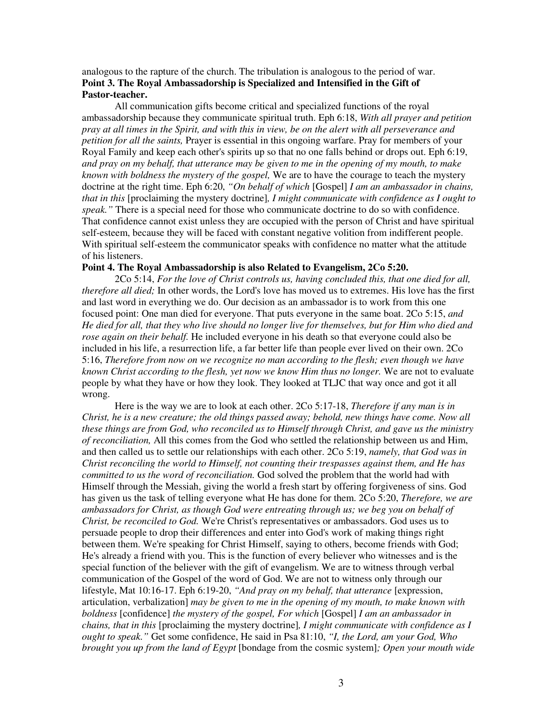### analogous to the rapture of the church. The tribulation is analogous to the period of war. **Point 3. The Royal Ambassadorship is Specialized and Intensified in the Gift of Pastor-teacher.**

All communication gifts become critical and specialized functions of the royal ambassadorship because they communicate spiritual truth. Eph 6:18, *With all prayer and petition* pray at all times in the Spirit, and with this in view, be on the alert with all perseverance and *petition for all the saints,* Prayer is essential in this ongoing warfare. Pray for members of your Royal Family and keep each other's spirits up so that no one falls behind or drops out. Eph 6:19, and pray on my behalf, that utterance may be given to me in the opening of my mouth, to make *known with boldness the mystery of the gospel,* We are to have the courage to teach the mystery doctrine at the right time. Eph 6:20, *"On behalf of which* [Gospel] *I am an ambassador in chains, that in this* [proclaiming the mystery doctrine]*, I might communicate with confidence as I ought to speak."* There is a special need for those who communicate doctrine to do so with confidence. That confidence cannot exist unless they are occupied with the person of Christ and have spiritual self-esteem, because they will be faced with constant negative volition from indifferent people. With spiritual self-esteem the communicator speaks with confidence no matter what the attitude of his listeners.

#### **Point 4. The Royal Ambassadorship is also Related to Evangelism, 2Co 5:20.**

2Co 5:14, *For the love of Christ controls us, having concluded this, that one died for all, therefore all died;* In other words, the Lord's love has moved us to extremes. His love has the first and last word in everything we do. Our decision as an ambassador is to work from this one focused point: One man died for everyone. That puts everyone in the same boat. 2Co 5:15, *and* He died for all, that they who live should no longer live for themselves, but for Him who died and *rose again on their behalf.* He included everyone in his death so that everyone could also be included in his life, a resurrection life, a far better life than people ever lived on their own. 2Co 5:16, *Therefore from now on we recognize no man according to the flesh; even though we have known Christ according to the flesh, yet now we know Him thus no longer.* We are not to evaluate people by what they have or how they look. They looked at TLJC that way once and got it all wrong.

Here is the way we are to look at each other. 2Co 5:17-18, *Therefore if any man is in Christ, he is a new creature; the old things passed away; behold, new things have come. Now all these things are from God, who reconciled us to Himself through Christ, and gave us the ministry of reconciliation,* All this comes from the God who settled the relationship between us and Him, and then called us to settle our relationships with each other. 2Co 5:19, *namely, that God was in Christ reconciling the world to Himself, not counting their trespasses against them, and He has committed to us the word of reconciliation.* God solved the problem that the world had with Himself through the Messiah, giving the world a fresh start by offering forgiveness of sins. God has given us the task of telling everyone what He has done for them. 2Co 5:20, *Therefore, we are ambassadors for Christ, as though God were entreating through us; we beg you on behalf of Christ, be reconciled to God.* We're Christ's representatives or ambassadors. God uses us to persuade people to drop their differences and enter into God's work of making things right between them. We're speaking for Christ Himself, saying to others, become friends with God; He's already a friend with you. This is the function of every believer who witnesses and is the special function of the believer with the gift of evangelism. We are to witness through verbal communication of the Gospel of the word of God. We are not to witness only through our lifestyle, Mat 10:16-17. Eph 6:19-20, *"And pray on my behalf, that utterance* [expression, articulation, verbalization] *may be given to me in the opening of my mouth, to make known with boldness* [confidence] *the mystery of the gospel, For which* [Gospel] *I am an ambassador in chains, that in this* [proclaiming the mystery doctrine]*, I might communicate with confidence as I ought to speak."* Get some confidence, He said in Psa 81:10, *"I, the Lord, am your God, Who brought you up from the land of Egypt* [bondage from the cosmic system]*; Open your mouth wide*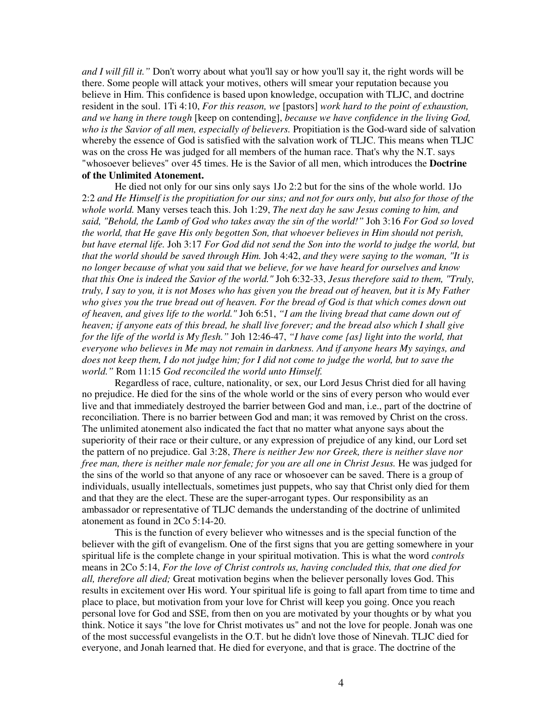*and I will fill it."* Don't worry about what you'll say or how you'll say it, the right words will be there. Some people will attack your motives, others will smear your reputation because you believe in Him. This confidence is based upon knowledge, occupation with TLJC, and doctrine resident in the soul. 1Ti 4:10, *For this reason, we* [pastors] *work hard to the point of exhaustion, and we hang in there tough* [keep on contending], *because we have confidence in the living God, who is the Savior of all men, especially of believers.* Propitiation is the God-ward side of salvation whereby the essence of God is satisfied with the salvation work of TLJC. This means when TLJC was on the cross He was judged for all members of the human race. That's why the N.T. says "whosoever believes" over 45 times. He is the Savior of all men, which introduces the **Doctrine of the Unlimited Atonement.**

He died not only for our sins only says 1Jo 2:2 but for the sins of the whole world. 1Jo 2:2 and He Himself is the propitiation for our sins; and not for ours only, but also for those of the *whole world.* Many verses teach this. Joh 1:29, *The next day he saw Jesus coming to him, and said, "Behold, the Lamb of God who takes away the sin of the world!"* Joh 3:16 *For God so loved the world, that He gave His only begotten Son, that whoever believes in Him should not perish,* but have eternal life. Joh 3:17 For God did not send the Son into the world to judge the world, but *that the world should be saved through Him.* Joh 4:42, *and they were saying to the woman, "It is no longer because of what you said that we believe, for we have heard for ourselves and know that this One is indeed the Savior of the world."* Joh 6:32-33, *Jesus therefore said to them, "Truly,* truly, I say to you, it is not Moses who has given you the bread out of heaven, but it is My Father who gives you the true bread out of heaven. For the bread of God is that which comes down out *of heaven, and gives life to the world."* Joh 6:51, *"I am the living bread that came down out of* heaven; if anyone eats of this bread, he shall live forever; and the bread also which I shall give *for the life of the world is My flesh."* Joh 12:46-47, *"I have come {as} light into the world, that everyone who believes in Me may not remain in darkness. And if anyone hears My sayings, and* does not keep them, I do not judge him; for I did not come to judge the world, but to save the *world."* Rom 11:15 *God reconciled the world unto Himself.*

Regardless of race, culture, nationality, or sex, our Lord Jesus Christ died for all having no prejudice. He died for the sins of the whole world or the sins of every person who would ever live and that immediately destroyed the barrier between God and man, i.e., part of the doctrine of reconciliation. There is no barrier between God and man; it was removed by Christ on the cross. The unlimited atonement also indicated the fact that no matter what anyone says about the superiority of their race or their culture, or any expression of prejudice of any kind, our Lord set the pattern of no prejudice. Gal 3:28, *There is neither Jew nor Greek, there is neither slave nor free man, there is neither male nor female; for you are all one in Christ Jesus.* He was judged for the sins of the world so that anyone of any race or whosoever can be saved. There is a group of individuals, usually intellectuals, sometimes just puppets, who say that Christ only died for them and that they are the elect. These are the super-arrogant types. Our responsibility as an ambassador or representative of TLJC demands the understanding of the doctrine of unlimited atonement as found in 2Co 5:14-20.

This is the function of every believer who witnesses and is the special function of the believer with the gift of evangelism. One of the first signs that you are getting somewhere in your spiritual life is the complete change in your spiritual motivation. This is what the word *controls* means in 2Co 5:14, *For the love of Christ controls us, having concluded this, that one died for all, therefore all died;* Great motivation begins when the believer personally loves God. This results in excitement over His word. Your spiritual life is going to fall apart from time to time and place to place, but motivation from your love for Christ will keep you going. Once you reach personal love for God and SSE, from then on you are motivated by your thoughts or by what you think. Notice it says "the love for Christ motivates us" and not the love for people. Jonah was one of the most successful evangelists in the O.T. but he didn't love those of Ninevah. TLJC died for everyone, and Jonah learned that. He died for everyone, and that is grace. The doctrine of the